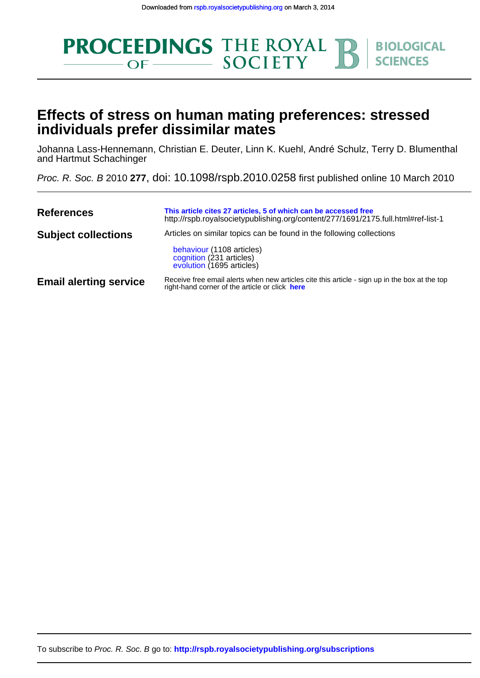

# **individuals prefer dissimilar mates Effects of stress on human mating preferences: stressed**

and Hartmut Schachinger Johanna Lass-Hennemann, Christian E. Deuter, Linn K. Kuehl, André Schulz, Terry D. Blumenthal

Proc. R. Soc. B 2010 **277**, doi: 10.1098/rspb.2010.0258 first published online 10 March 2010

| <b>References</b>             | This article cites 27 articles, 5 of which can be accessed free<br>http://rspb.royalsocietypublishing.org/content/277/1691/2175.full.html#ref-list-1 |
|-------------------------------|------------------------------------------------------------------------------------------------------------------------------------------------------|
| <b>Subject collections</b>    | Articles on similar topics can be found in the following collections                                                                                 |
|                               | behaviour (1108 articles)<br>cognition (231 articles)<br>evolution (1695 articles)                                                                   |
| <b>Email alerting service</b> | Receive free email alerts when new articles cite this article - sign up in the box at the top<br>right-hand corner of the article or click here      |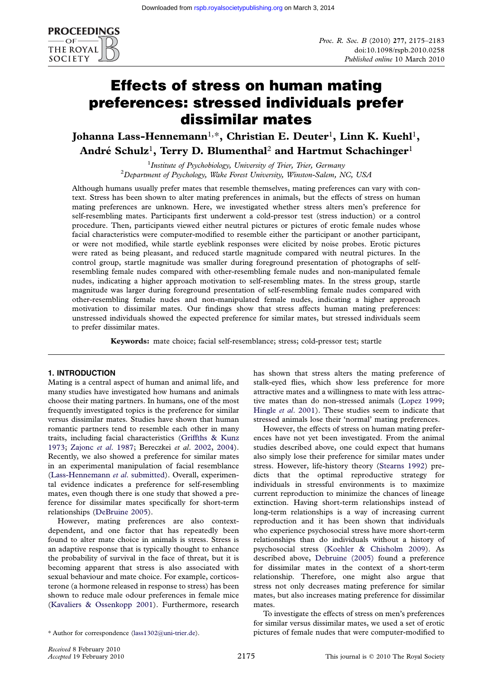

# Effects of stress on human mating preferences: stressed individuals prefer dissimilar mates

Johanna Lass-Hennemann $^{1,\ast},$  Christian E. Deuter $^{1},$  Linn K. Kuehl $^{1},$ André Schulz<sup>1</sup>, Terry D. Blumenthal<sup>2</sup> and Hartmut Schachinger<sup>1</sup>

> <sup>1</sup> Institute of Psychobiology, University of Trier, Trier, Germany<br><sup>2</sup> Department of Psychology, Wake Expect University, Winston Salem, N  ${}^{2}$ Department of Psychology, Wake Forest University, Winston-Salem, NC, USA

Although humans usually prefer mates that resemble themselves, mating preferences can vary with context. Stress has been shown to alter mating preferences in animals, but the effects of stress on human mating preferences are unknown. Here, we investigated whether stress alters men's preference for self-resembling mates. Participants first underwent a cold-pressor test (stress induction) or a control procedure. Then, participants viewed either neutral pictures or pictures of erotic female nudes whose facial characteristics were computer-modified to resemble either the participant or another participant, or were not modified, while startle eyeblink responses were elicited by noise probes. Erotic pictures were rated as being pleasant, and reduced startle magnitude compared with neutral pictures. In the control group, startle magnitude was smaller during foreground presentation of photographs of selfresembling female nudes compared with other-resembling female nudes and non-manipulated female nudes, indicating a higher approach motivation to self-resembling mates. In the stress group, startle magnitude was larger during foreground presentation of self-resembling female nudes compared with other-resembling female nudes and non-manipulated female nudes, indicating a higher approach motivation to dissimilar mates. Our findings show that stress affects human mating preferences: unstressed individuals showed the expected preference for similar mates, but stressed individuals seem to prefer dissimilar mates.

Keywords: mate choice; facial self-resemblance; stress; cold-pressor test; startle

## 1. INTRODUCTION

Mating is a central aspect of human and animal life, and many studies have investigated how humans and animals choose their mating partners. In humans, one of the most frequently investigated topics is the preference for similar versus dissimilar mates. Studies have shown that human romantic partners tend to resemble each other in many traits, including facial characteristics ([Griffths & Kunz](#page-9-0) [1973;](#page-9-0) [Zajonc](#page-9-0) et al. 1987; Bereczkei et al. [2002](#page-9-0), [2004](#page-9-0)). Recently, we also showed a preference for similar mates in an experimental manipulation of facial resemblance [\(Lass-Hennemann](#page-9-0) et al. submitted). Overall, experimental evidence indicates a preference for self-resembling mates, even though there is one study that showed a preference for dissimilar mates specifically for short-term relationships [\(DeBruine 2005](#page-9-0)).

However, mating preferences are also contextdependent, and one factor that has repeatedly been found to alter mate choice in animals is stress. Stress is an adaptive response that is typically thought to enhance the probability of survival in the face of threat, but it is becoming apparent that stress is also associated with sexual behaviour and mate choice. For example, corticosterone (a hormone released in response to stress) has been shown to reduce male odour preferences in female mice [\(Kavaliers & Ossenkopp 2001\)](#page-9-0). Furthermore, research

has shown that stress alters the mating preference of stalk-eyed flies, which show less preference for more attractive mates and a willingness to mate with less attractive mates than do non-stressed animals [\(Lopez 1999;](#page-9-0) Hingle et al[. 2001](#page-9-0)). These studies seem to indicate that stressed animals lose their 'normal' mating preferences.

However, the effects of stress on human mating preferences have not yet been investigated. From the animal studies described above, one could expect that humans also simply lose their preference for similar mates under stress. However, life-history theory ([Stearns 1992\)](#page-9-0) predicts that the optimal reproductive strategy for individuals in stressful environments is to maximize current reproduction to minimize the chances of lineage extinction. Having short-term relationships instead of long-term relationships is a way of increasing current reproduction and it has been shown that individuals who experience psychosocial stress have more short-term relationships than do individuals without a history of psychosocial stress ([Koehler & Chisholm 2009\)](#page-9-0). As described above, [Debruine \(2005\)](#page-9-0) found a preference for dissimilar mates in the context of a short-term relationship. Therefore, one might also argue that stress not only decreases mating preference for similar mates, but also increases mating preference for dissimilar mates.

To investigate the effects of stress on men's preferences for similar versus dissimilar mates, we used a set of erotic \* Author for correspondence ([lass1302@uni-trier.de](mailto:lass1302@uni-trier.de)). pictures of female nudes that were computer-modified to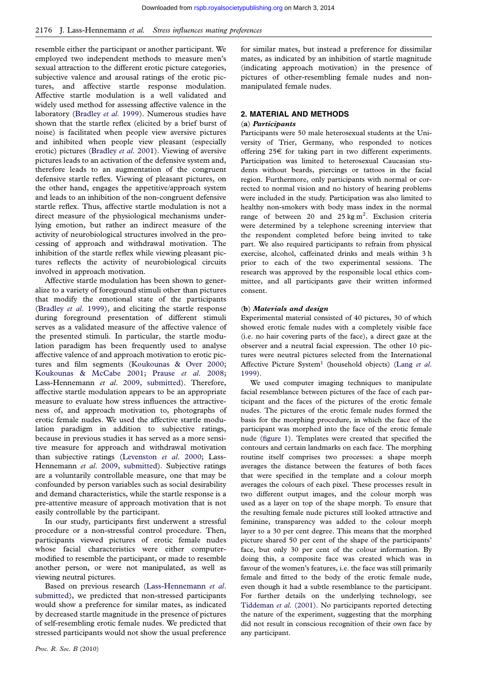resemble either the participant or another participant. We employed two independent methods to measure men's sexual attraction to the different erotic picture categories, subjective valence and arousal ratings of the erotic pictures, and affective startle response modulation. Affective startle modulation is a well validated and widely used method for assessing affective valence in the laboratory [\(Bradley](#page-9-0) et al. 1999). Numerous studies have shown that the startle reflex (elicited by a brief burst of noise) is facilitated when people view aversive pictures and inhibited when people view pleasant (especially erotic) pictures [\(Bradley](#page-9-0) et al. 2001). Viewing of aversive pictures leads to an activation of the defensive system and, therefore leads to an augmentation of the congruent defensive startle reflex. Viewing of pleasant pictures, on the other hand, engages the appetitive/approach system and leads to an inhibition of the non-congruent defensive startle reflex. Thus, affective startle modulation is not a direct measure of the physiological mechanisms underlying emotion, but rather an indirect measure of the activity of neurobiological structures involved in the processing of approach and withdrawal motivation. The inhibition of the startle reflex while viewing pleasant pictures reflects the activity of neurobiological circuits involved in approach motivation.

Affective startle modulation has been shown to generalize to a variety of foreground stimuli other than pictures that modify the emotional state of the participants [\(Bradley](#page-9-0) et al. 1999), and eliciting the startle response during foreground presentation of different stimuli serves as a validated measure of the affective valence of the presented stimuli. In particular, the startle modulation paradigm has been frequently used to analyse affective valence of and approach motivation to erotic pictures and film segments [\(Koukounas & Over 2000;](#page-9-0) [Koukounas & McCabe 2001;](#page-9-0) Prause et al[. 2008;](#page-9-0) Lass-Hennemann et al. [2009, submitted](#page-9-0)). Therefore, affective startle modulation appears to be an appropriate measure to evaluate how stress influences the attractiveness of, and approach motivation to, photographs of erotic female nudes. We used the affective startle modulation paradigm in addition to subjective ratings, because in previous studies it has served as a more sensitive measure for approach and withdrawal motivation than subjective ratings [\(Levenston](#page-9-0) et al. 2000; Lass-Hennemann et al. [2009, submitted](#page-9-0)). Subjective ratings are a voluntarily controllable measure, one that may be confounded by person variables such as social desirability and demand characteristics, while the startle response is a pre-attentive measure of approach motivation that is not easily controllable by the participant.

In our study, participants first underwent a stressful procedure or a non-stressful control procedure. Then, participants viewed pictures of erotic female nudes whose facial characteristics were either computermodified to resemble the participant, or made to resemble another person, or were not manipulated, as well as viewing neutral pictures.

Based on previous research ([Lass-Hennemann](#page-9-0) et al. [submitted](#page-9-0)), we predicted that non-stressed participants would show a preference for similar mates, as indicated by decreased startle magnitude in the presence of pictures of self-resembling erotic female nudes. We predicted that stressed participants would not show the usual preference

for similar mates, but instead a preference for dissimilar mates, as indicated by an inhibition of startle magnitude (indicating approach motivation) in the presence of pictures of other-resembling female nudes and nonmanipulated female nudes.

# 2. MATERIAL AND METHODS

## (a) Participants

Participants were 50 male heterosexual students at the University of Trier, Germany, who responded to notices offering 25E for taking part in two different experiments. Participation was limited to heterosexual Caucasian students without beards, piercings or tattoos in the facial region. Furthermore, only participants with normal or corrected to normal vision and no history of hearing problems were included in the study. Participation was also limited to healthy non-smokers with body mass index in the normal range of between 20 and 25 kg m<sup>2</sup>. Exclusion criteria were determined by a telephone screening interview that the respondent completed before being invited to take part. We also required participants to refrain from physical exercise, alcohol, caffeinated drinks and meals within 3 h prior to each of the two experimental sessions. The research was approved by the responsible local ethics committee, and all participants gave their written informed consent.

#### (b) Materials and design

Experimental material consisted of 40 pictures, 30 of which showed erotic female nudes with a completely visible face (i.e. no hair covering parts of the face), a direct gaze at the observer and a neutral facial expression. The other 10 pictures were neutral pictures selected from the International Affective Picture System<sup>[1](#page-9-0)</sup> (household objects) ([Lang](#page-9-0) et al. [1999\)](#page-9-0).

We used computer imaging techniques to manipulate facial resemblance between pictures of the face of each participant and the faces of the pictures of the erotic female nudes. The pictures of the erotic female nudes formed the basis for the morphing procedure, in which the face of the participant was morphed into the face of the erotic female nude ([figure 1\)](#page-3-0). Templates were created that specified the contours and certain landmarks on each face. The morphing routine itself comprises two processes: a shape morph averages the distance between the features of both faces that were specified in the template and a colour morph averages the colours of each pixel. These processes result in two different output images, and the colour morph was used as a layer on top of the shape morph. To ensure that the resulting female nude pictures still looked attractive and feminine, transparency was added to the colour morph layer to a 30 per cent degree. This means that the morphed picture shared 50 per cent of the shape of the participants' face, but only 30 per cent of the colour information. By doing this, a composite face was created which was in favour of the women's features, i.e. the face was still primarily female and fitted to the body of the erotic female nude, even though it had a subtle resemblance to the participant. For further details on the underlying technology, see [Tiddeman](#page-9-0) et al. (2001). No participants reported detecting the nature of the experiment, suggesting that the morphing did not result in conscious recognition of their own face by any participant.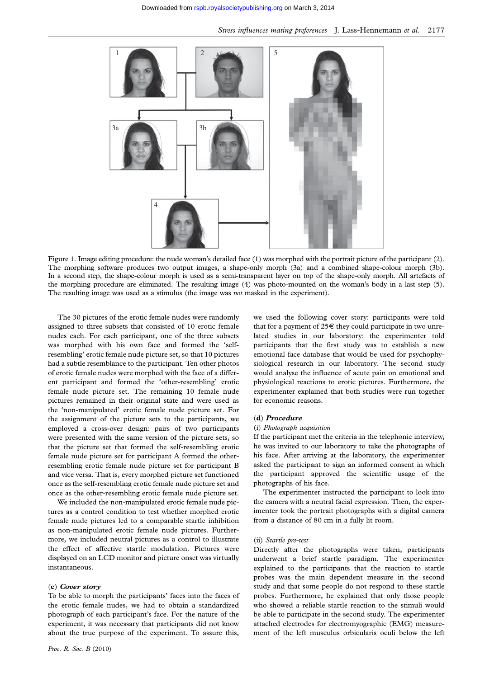<span id="page-3-0"></span>

Figure 1. Image editing procedure: the nude woman's detailed face (1) was morphed with the portrait picture of the participant (2). The morphing software produces two output images, a shape-only morph (3a) and a combined shape-colour morph (3b). In a second step, the shape-colour morph is used as a semi-transparent layer on top of the shape-only morph. All artefacts of the morphing procedure are eliminated. The resulting image (4) was photo-mounted on the woman's body in a last step (5). The resulting image was used as a stimulus (the image was not masked in the experiment).

The 30 pictures of the erotic female nudes were randomly assigned to three subsets that consisted of 10 erotic female nudes each. For each participant, one of the three subsets was morphed with his own face and formed the 'selfresembling' erotic female nude picture set, so that 10 pictures had a subtle resemblance to the participant. Ten other photos of erotic female nudes were morphed with the face of a different participant and formed the 'other-resembling' erotic female nude picture set. The remaining 10 female nude pictures remained in their original state and were used as the 'non-manipulated' erotic female nude picture set. For the assignment of the picture sets to the participants, we employed a cross-over design: pairs of two participants were presented with the same version of the picture sets, so that the picture set that formed the self-resembling erotic female nude picture set for participant A formed the otherresembling erotic female nude picture set for participant B and vice versa. That is, every morphed picture set functioned once as the self-resembling erotic female nude picture set and once as the other-resembling erotic female nude picture set.

We included the non-manipulated erotic female nude pictures as a control condition to test whether morphed erotic female nude pictures led to a comparable startle inhibition as non-manipulated erotic female nude pictures. Furthermore, we included neutral pictures as a control to illustrate the effect of affective startle modulation. Pictures were displayed on an LCD monitor and picture onset was virtually instantaneous.

#### (c) Cover story

To be able to morph the participants' faces into the faces of the erotic female nudes, we had to obtain a standardized photograph of each participant's face. For the nature of the experiment, it was necessary that participants did not know about the true purpose of the experiment. To assure this,

we used the following cover story: participants were told that for a payment of  $25 \in$  they could participate in two unrelated studies in our laboratory: the experimenter told participants that the first study was to establish a new emotional face database that would be used for psychophysiological research in our laboratory. The second study would analyse the influence of acute pain on emotional and physiological reactions to erotic pictures. Furthermore, the experimenter explained that both studies were run together for economic reasons.

#### (d) Procedure

#### (i) Photograph acquisition

If the participant met the criteria in the telephonic interview, he was invited to our laboratory to take the photographs of his face. After arriving at the laboratory, the experimenter asked the participant to sign an informed consent in which the participant approved the scientific usage of the photographs of his face.

The experimenter instructed the participant to look into the camera with a neutral facial expression. Then, the experimenter took the portrait photographs with a digital camera from a distance of 80 cm in a fully lit room.

## (ii) Startle pre-test

Directly after the photographs were taken, participants underwent a brief startle paradigm. The experimenter explained to the participants that the reaction to startle probes was the main dependent measure in the second study and that some people do not respond to these startle probes. Furthermore, he explained that only those people who showed a reliable startle reaction to the stimuli would be able to participate in the second study. The experimenter attached electrodes for electromyographic (EMG) measurement of the left musculus orbicularis oculi below the left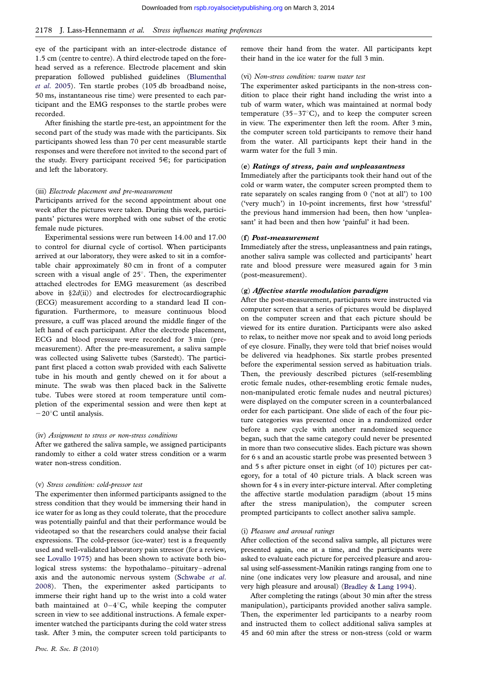eye of the participant with an inter-electrode distance of 1.5 cm (centre to centre). A third electrode taped on the forehead served as a reference. Electrode placement and skin preparation followed published guidelines [\(Blumenthal](#page-9-0) et al[. 2005\)](#page-9-0). Ten startle probes (105 db broadband noise, 50 ms, instantaneous rise time) were presented to each participant and the EMG responses to the startle probes were recorded.

After finishing the startle pre-test, an appointment for the second part of the study was made with the participants. Six participants showed less than 70 per cent measurable startle responses and were therefore not invited to the second part of the study. Every participant received  $5 \in$ ; for participation and left the laboratory.

#### (iii) Electrode placement and pre-measurement

Participants arrived for the second appointment about one week after the pictures were taken. During this week, participants' pictures were morphed with one subset of the erotic female nude pictures.

Experimental sessions were run between 14.00 and 17.00 to control for diurnal cycle of cortisol. When participants arrived at our laboratory, they were asked to sit in a comfortable chair approximately 80 cm in front of a computer screen with a visual angle of  $25^\circ$ . Then, the experimenter attached electrodes for EMG measurement (as described above in  $\S2d(i)$  and electrodes for electrocardiographic (ECG) measurement according to a standard lead II configuration. Furthermore, to measure continuous blood pressure, a cuff was placed around the middle finger of the left hand of each participant. After the electrode placement, ECG and blood pressure were recorded for 3 min (premeasurement). After the pre-measurement, a saliva sample was collected using Salivette tubes (Sarstedt). The participant first placed a cotton swab provided with each Salivette tube in his mouth and gently chewed on it for about a minute. The swab was then placed back in the Salivette tube. Tubes were stored at room temperature until completion of the experimental session and were then kept at  $-20^{\circ}$ C until analysis.

#### (iv) Assignment to stress or non-stress conditions

After we gathered the saliva sample, we assigned participants randomly to either a cold water stress condition or a warm water non-stress condition.

#### (v) Stress condition: cold-pressor test

The experimenter then informed participants assigned to the stress condition that they would be immersing their hand in ice water for as long as they could tolerate, that the procedure was potentially painful and that their performance would be videotaped so that the researchers could analyse their facial expressions. The cold-pressor (ice-water) test is a frequently used and well-validated laboratory pain stressor (for a review, see [Lovallo 1975\)](#page-9-0) and has been shown to activate both biological stress systems: the hypothalamo–pituitary–adrenal axis and the autonomic nervous system ([Schwabe](#page-9-0) et al. [2008\)](#page-9-0). Then, the experimenter asked participants to immerse their right hand up to the wrist into a cold water bath maintained at  $0-4^{\circ}$ C, while keeping the computer screen in view to see additional instructions. A female experimenter watched the participants during the cold water stress task. After 3 min, the computer screen told participants to

remove their hand from the water. All participants kept their hand in the ice water for the full 3 min.

#### (vi) Non-stress condition: warm water test

The experimenter asked participants in the non-stress condition to place their right hand including the wrist into a tub of warm water, which was maintained at normal body temperature (35–37 $^{\circ}$ C), and to keep the computer screen in view. The experimenter then left the room. After 3 min, the computer screen told participants to remove their hand from the water. All participants kept their hand in the warm water for the full 3 min.

#### (e) Ratings of stress, pain and unpleasantness

Immediately after the participants took their hand out of the cold or warm water, the computer screen prompted them to rate separately on scales ranging from 0 ('not at all') to 100 ('very much') in 10-point increments, first how 'stressful' the previous hand immersion had been, then how 'unpleasant' it had been and then how 'painful' it had been.

#### (f) Post-measurement

Immediately after the stress, unpleasantness and pain ratings, another saliva sample was collected and participants' heart rate and blood pressure were measured again for 3 min (post-measurement).

### (g) Affective startle modulation paradigm

After the post-measurement, participants were instructed via computer screen that a series of pictures would be displayed on the computer screen and that each picture should be viewed for its entire duration. Participants were also asked to relax, to neither move nor speak and to avoid long periods of eye closure. Finally, they were told that brief noises would be delivered via headphones. Six startle probes presented before the experimental session served as habituation trials. Then, the previously described pictures (self-resembling erotic female nudes, other-resembling erotic female nudes, non-manipulated erotic female nudes and neutral pictures) were displayed on the computer screen in a counterbalanced order for each participant. One slide of each of the four picture categories was presented once in a randomized order before a new cycle with another randomized sequence began, such that the same category could never be presented in more than two consecutive slides. Each picture was shown for 6 s and an acoustic startle probe was presented between 3 and 5 s after picture onset in eight (of 10) pictures per category, for a total of 40 picture trials. A black screen was shown for 4 s in every inter-picture interval. After completing the affective startle modulation paradigm (about 15 mins after the stress manipulation), the computer screen prompted participants to collect another saliva sample.

#### (i) Pleasure and arousal ratings

After collection of the second saliva sample, all pictures were presented again, one at a time, and the participants were asked to evaluate each picture for perceived pleasure and arousal using self-assessment-Manikin ratings ranging from one to nine (one indicates very low pleasure and arousal, and nine very high pleasure and arousal) ([Bradley & Lang 1994\)](#page-9-0).

After completing the ratings (about 30 min after the stress manipulation), participants provided another saliva sample. Then, the experimenter led participants to a nearby room and instructed them to collect additional saliva samples at 45 and 60 min after the stress or non-stress (cold or warm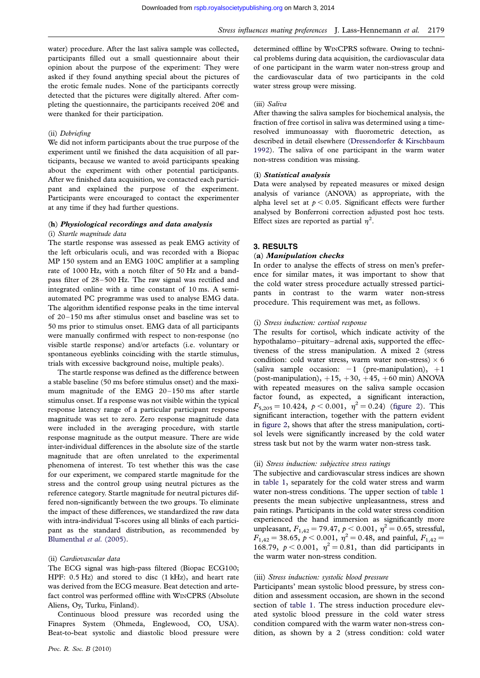water) procedure. After the last saliva sample was collected, participants filled out a small questionnaire about their opinion about the purpose of the experiment: They were asked if they found anything special about the pictures of the erotic female nudes. None of the participants correctly detected that the pictures were digitally altered. After completing the questionnaire, the participants received  $20 \in$  and were thanked for their participation.

# (ii) Debriefing

We did not inform participants about the true purpose of the experiment until we finished the data acquisition of all participants, because we wanted to avoid participants speaking about the experiment with other potential participants. After we finished data acquisition, we contacted each participant and explained the purpose of the experiment. Participants were encouraged to contact the experimenter at any time if they had further questions.

## (h) Physiological recordings and data analysis (i) Startle magnitude data

The startle response was assessed as peak EMG activity of the left orbicularis oculi, and was recorded with a Biopac MP 150 system and an EMG 100C amplifier at a sampling rate of 1000 Hz, with a notch filter of 50 Hz and a bandpass filter of 28–500 Hz. The raw signal was rectified and integrated online with a time constant of 10 ms. A semiautomated PC programme was used to analyse EMG data. The algorithm identified response peaks in the time interval of 20–150 ms after stimulus onset and baseline was set to 50 ms prior to stimulus onset. EMG data of all participants were manually confirmed with respect to non-response (no visible startle response) and/or artefacts (i.e. voluntary or spontaneous eyeblinks coinciding with the startle stimulus, trials with excessive background noise, multiple peaks).

The startle response was defined as the difference between a stable baseline (50 ms before stimulus onset) and the maximum magnitude of the EMG 20–150 ms after startle stimulus onset. If a response was not visible within the typical response latency range of a particular participant response magnitude was set to zero. Zero response magnitude data were included in the averaging procedure, with startle response magnitude as the output measure. There are wide inter-individual differences in the absolute size of the startle magnitude that are often unrelated to the experimental phenomena of interest. To test whether this was the case for our experiment, we compared startle magnitude for the stress and the control group using neutral pictures as the reference category. Startle magnitude for neutral pictures differed non-significantly between the two groups. To eliminate the impact of these differences, we standardized the raw data with intra-individual T-scores using all blinks of each participant as the standard distribution, as recommended by [Blumenthal](#page-9-0) et al. (2005).

# (ii) Cardiovascular data

The ECG signal was high-pass filtered (Biopac ECG100; HPF: 0.5 Hz) and stored to disc (1 kHz), and heart rate was derived from the ECG measure. Beat detection and artefact control was performed offline with WINCPRS (Absolute Aliens, Oy, Turku, Finland).

Continuous blood pressure was recorded using the Finapres System (Ohmeda, Englewood, CO, USA). Beat-to-beat systolic and diastolic blood pressure were determined offline by WINCPRS software. Owing to technical problems during data acquisition, the cardiovascular data of one participant in the warm water non-stress group and the cardiovascular data of two participants in the cold water stress group were missing.

#### (iii) Saliva

After thawing the saliva samples for biochemical analysis, the fraction of free cortisol in saliva was determined using a timeresolved immunoassay with fluorometric detection, as described in detail elsewhere ([Dressendorfer & Kirschbaum](#page-9-0) [1992](#page-9-0)). The saliva of one participant in the warm water non-stress condition was missing.

### (i) Statistical analysis

Data were analysed by repeated measures or mixed design analysis of variance (ANOVA) as appropriate, with the alpha level set at  $p < 0.05$ . Significant effects were further analysed by Bonferroni correction adjusted post hoc tests. Effect sizes are reported as partial  $\eta^2$ .

#### 3. RESULTS

#### (a) Manipulation checks

In order to analyse the effects of stress on men's preference for similar mates, it was important to show that the cold water stress procedure actually stressed participants in contrast to the warm water non-stress procedure. This requirement was met, as follows.

## (i) Stress induction: cortisol response

The results for cortisol, which indicate activity of the hypothalamo–pituitary–adrenal axis, supported the effectiveness of the stress manipulation. A mixed 2 (stress condition: cold water stress, warm water non-stress)  $\times$  6 (saliva sample occasion:  $-1$  (pre-manipulation),  $+1$ (post-manipulation),  $+15$ ,  $+30$ ,  $+45$ ,  $+60$  min) ANOVA with repeated measures on the saliva sample occasion factor found, as expected, a significant interaction,  $F_{5,205} = 10.424$ ,  $p < 0.001$ ,  $\eta^2 = 0.24$ ) [\(figure 2](#page-6-0)). This significant interaction, together with the pattern evident in [figure 2,](#page-6-0) shows that after the stress manipulation, cortisol levels were significantly increased by the cold water stress task but not by the warm water non-stress task.

## (ii) Stress induction: subjective stress ratings

The subjective and cardiovascular stress indices are shown in [table 1,](#page-6-0) separately for the cold water stress and warm water non-stress conditions. The upper section of [table 1](#page-6-0) presents the mean subjective unpleasantness, stress and pain ratings. Participants in the cold water stress condition experienced the hand immersion as significantly more unpleasant,  $F_{1,42} = 79.47$ ,  $p < 0.001$ ,  $\eta^2 = 0.65$ , stressful,  $F_{1,42} = 38.65, p < 0.001, \eta^2 = 0.48$ , and painful,  $F_{1,42} =$ 168.79,  $p < 0.001$ ,  $\eta^2 = 0.81$ , than did participants in the warm water non-stress condition.

## (iii) Stress induction: systolic blood pressure

Participants' mean systolic blood pressure, by stress condition and assessment occasion, are shown in the second section of [table 1.](#page-6-0) The stress induction procedure elevated systolic blood pressure in the cold water stress condition compared with the warm water non-stress condition, as shown by a 2 (stress condition: cold water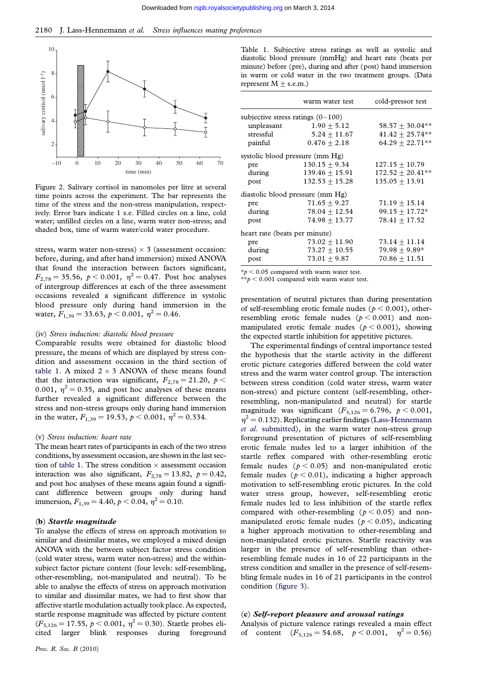<span id="page-6-0"></span>

Figure 2. Salivary cortisol in nanomoles per litre at several time points across the experiment. The bar represents the time of the stress and the non-stress manipulation, respectively. Error bars indicate 1 s.e. Filled circles on a line, cold water; unfilled circles on a line, warm water non-stress; and shaded box, time of warm water/cold water procedure.

stress, warm water non-stress)  $\times$  3 (assessment occasion: before, during, and after hand immersion) mixed ANOVA that found the interaction between factors significant,  $F_{2,78} = 35.56, p < 0.001, \eta^2 = 0.47$ . Post hoc analyses of intergroup differences at each of the three assessment occasions revealed a significant difference in systolic blood pressure only during hand immersion in the water,  $F_{1,39} = 33.63$ ,  $p < 0.001$ ,  $\eta^2 = 0.46$ .

#### (iv) Stress induction: diastolic blood pressure

Comparable results were obtained for diastolic blood pressure, the means of which are displayed by stress condition and assessment occasion in the third section of table 1. A mixed  $2 \times 3$  ANOVA of these means found that the interaction was significant,  $F_{2,78} = 21.20, p <$ 0.001,  $\eta^2$  = 0.35, and post hoc analyses of these means further revealed a significant difference between the stress and non-stress groups only during hand immersion in the water,  $F_{1,39} = 19.53$ ,  $p < 0.001$ ,  $\eta^2 = 0.334$ .

#### (v) Stress induction: heart rate

The mean heart rates of participants in each of the two stress conditions, by assessment occasion, are shown in the last section of table 1. The stress condition  $\times$  assessment occasion interaction was also significant,  $F_{2,78} = 13.82$ ,  $p = 0.42$ , and post hoc analyses of these means again found a significant difference between groups only during hand immersion,  $F_{1,39} = 4.40, p < 0.04, \eta^2 = 0.10$ .

### (b) Startle magnitude

To analyse the effects of stress on approach motivation to similar and dissimilar mates, we employed a mixed design ANOVA with the between subject factor stress condition (cold water stress, warm water non-stress) and the withinsubject factor picture content (four levels: self-resembling, other-resembling, not-manipulated and neutral). To be able to analyse the effects of stress on approach motivation to similar and dissimilar mates, we had to first show that affective startle modulation actually took place. As expected, startle response magnitude was affected by picture content  $(F_{3,126} = 17.55, p < 0.001, \eta^2 = 0.30)$ . Startle probes elicited larger blink responses during foreground

Table 1. Subjective stress ratings as well as systolic and diastolic blood pressure (mmHg) and heart rate (beats per minute) before (pre), during and after (post) hand immersion in warm or cold water in the two treatment groups. (Data represent  $M \pm$  s.e.m.)

|                                 | warm water test                     | cold-pressor test  |  |  |
|---------------------------------|-------------------------------------|--------------------|--|--|
|                                 | subjective stress ratings $(0-100)$ |                    |  |  |
| unpleasant                      | $1.90 + 5.12$                       | $58.57 + 30.04**$  |  |  |
| stressful                       | $5.24 + 11.67$                      | $41.42 + 25.74**$  |  |  |
| painful                         | $0.476 + 2.18$                      | $64.29 + 22.71**$  |  |  |
| systolic blood pressure (mm Hg) |                                     |                    |  |  |
| pre                             | $130.15 + 9.34$                     | $127.15 + 10.79$   |  |  |
| during                          | $139.46 + 15.91$                    | $172.52 + 20.41**$ |  |  |
| post                            | $132.53 + 15.28$                    | $135.05 + 13.91$   |  |  |
|                                 | diastolic blood pressure (mm Hg)    |                    |  |  |
| pre                             | $71.65 + 9.27$                      | $71.19 + 15.14$    |  |  |
| during                          | $78.04 + 12.54$                     | 99.15 $\pm$ 17.72* |  |  |
| post                            | $74.98 \pm 13.77$                   | $78.41 \pm 17.52$  |  |  |
| heart rate (beats per minute)   |                                     |                    |  |  |
| pre                             | $73.02 + 11.90$                     | $73.14 + 11.14$    |  |  |
| during                          | $73.27 + 10.55$                     | $79.98 + 9.89*$    |  |  |
| post                            | $73.01 + 9.87$                      | $70.86 + 11.51$    |  |  |

 $*_p$  < 0.05 compared with warm water test.

 $**p < 0.001$  compared with warm water test.

presentation of neutral pictures than during presentation of self-resembling erotic female nudes ( $p < 0.001$ ), otherresembling erotic female nudes ( $p < 0.001$ ) and nonmanipulated erotic female nudes ( $p < 0.001$ ), showing the expected startle inhibition for appetitive pictures.

The experimental findings of central importance tested the hypothesis that the startle activity in the different erotic picture categories differed between the cold water stress and the warm water control group. The interaction between stress condition (cold water stress, warm water non-stress) and picture content (self-resembling, otherresembling, non-manipulated and neutral) for startle magnitude was significant  $(F_{3,126} = 6.796, p < 0.001,$  $\eta^2$  = 0.132). Replicating earlier findings [\(Lass-Hennemann](#page-9-0) et al[. submitted\)](#page-9-0), in the warm water non-stress group foreground presentation of pictures of self-resembling erotic female nudes led to a larger inhibition of the startle reflex compared with other-resembling erotic female nudes  $(p < 0.05)$  and non-manipulated erotic female nudes ( $p < 0.01$ ), indicating a higher approach motivation to self-resembling erotic pictures. In the cold water stress group, however, self-resembling erotic female nudes led to less inhibition of the startle reflex compared with other-resembling ( $p < 0.05$ ) and nonmanipulated erotic female nudes ( $p < 0.05$ ), indicating a higher approach motivation to other-resembling and non-manipulated erotic pictures. Startle reactivity was larger in the presence of self-resembling than otherresembling female nudes in 16 of 22 participants in the stress condition and smaller in the presence of self-resembling female nudes in 16 of 21 participants in the control condition [\(figure 3](#page-7-0)).

## (c) Self-report pleasure and arousal ratings

Analysis of picture valence ratings revealed a main effect of content  $(F_{3,126} = 54.68, p < 0.001, \eta^2 = 0.56)$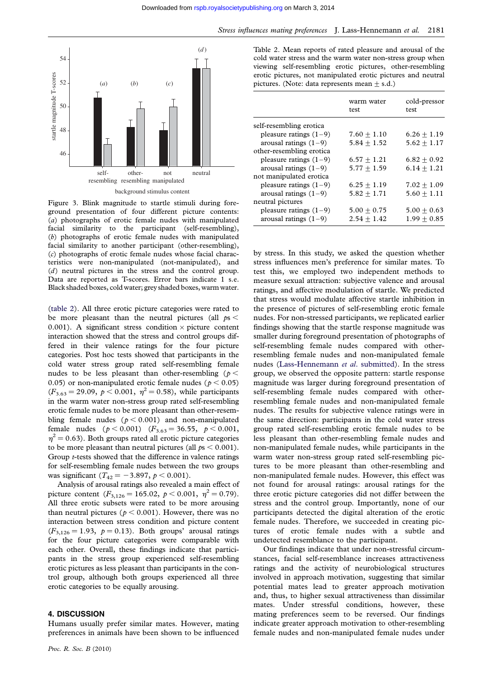<span id="page-7-0"></span>

Figure 3. Blink magnitude to startle stimuli during foreground presentation of four different picture contents: (a) photographs of erotic female nudes with manipulated facial similarity to the participant (self-resembling), (b) photographs of erotic female nudes with manipulated facial similarity to another participant (other-resembling), (c) photographs of erotic female nudes whose facial characteristics were non-manipulated (not-manipulated), and (d) neutral pictures in the stress and the control group. Data are reported as T-scores. Error bars indicate 1 s.e. Black shaded boxes, cold water; grey shaded boxes, warm water.

(table 2). All three erotic picture categories were rated to be more pleasant than the neutral pictures (all  $ps <$ 0.001). A significant stress condition  $\times$  picture content interaction showed that the stress and control groups differed in their valence ratings for the four picture categories. Post hoc tests showed that participants in the cold water stress group rated self-resembling female nudes to be less pleasant than other-resembling ( $p <$ 0.05) or non-manipulated erotic female nudes ( $p < 0.05$ )  $(F_{3.63} = 29.09, p < 0.001, \eta^2 = 0.58)$ , while participants in the warm water non-stress group rated self-resembling erotic female nudes to be more pleasant than other-resembling female nudes ( $p < 0.001$ ) and non-manipulated female nudes  $(p < 0.001)$   $(F_{3.63} = 36.55, p < 0.001,$  $\eta^2$  = 0.63). Both groups rated all erotic picture categories to be more pleasant than neutral pictures (all  $ps < 0.001$ ). Group t-tests showed that the difference in valence ratings for self-resembling female nudes between the two groups was significant  $(T_{42} = -3.897, p < 0.001)$ .

Analysis of arousal ratings also revealed a main effect of picture content  $(F_{3,126} = 165.02, p < 0.001, \eta^2 = 0.79)$ . All three erotic subsets were rated to be more arousing than neutral pictures ( $p < 0.001$ ). However, there was no interaction between stress condition and picture content  $(F_{3,126} = 1.93, p = 0.13)$ . Both groups' arousal ratings for the four picture categories were comparable with each other. Overall, these findings indicate that participants in the stress group experienced self-resembling erotic pictures as less pleasant than participants in the control group, although both groups experienced all three erotic categories to be equally arousing.

# 4. DISCUSSION

Humans usually prefer similar mates. However, mating preferences in animals have been shown to be influenced

Table 2. Mean reports of rated pleasure and arousal of the cold water stress and the warm water non-stress group when viewing self-resembling erotic pictures, other-resembling erotic pictures, not manipulated erotic pictures and neutral pictures. (Note: data represents mean  $\pm$  s.d.)

|                          | warm water<br>test | cold-pressor<br>test |
|--------------------------|--------------------|----------------------|
| self-resembling erotica  |                    |                      |
| pleasure ratings $(1-9)$ | $7.60 + 1.10$      | $6.26 + 1.19$        |
| arousal ratings $(1-9)$  | $5.84 \pm 1.52$    | $5.62 + 1.17$        |
| other-resembling erotica |                    |                      |
| pleasure ratings $(1-9)$ | $6.57 + 1.21$      | $6.82 + 0.92$        |
| arousal ratings $(1-9)$  | $5.77 + 1.59$      | $6.14 + 1.21$        |
| not manipulated erotica  |                    |                      |
| pleasure ratings $(1-9)$ | $6.25 \pm 1.19$    | $7.02 + 1.09$        |
| arousal ratings $(1-9)$  | $5.82 + 1.71$      | $5.60 \pm 1.11$      |
| neutral pictures         |                    |                      |
| pleasure ratings $(1-9)$ | $5.00 + 0.75$      | $5.00 + 0.63$        |
| arousal ratings $(1-9)$  | $2.54 + 1.42$      | $1.99 + 0.85$        |

by stress. In this study, we asked the question whether stress influences men's preference for similar mates. To test this, we employed two independent methods to measure sexual attraction: subjective valence and arousal ratings, and affective modulation of startle. We predicted that stress would modulate affective startle inhibition in the presence of pictures of self-resembling erotic female nudes. For non-stressed participants, we replicated earlier findings showing that the startle response magnitude was smaller during foreground presentation of photographs of self-resembling female nudes compared with otherresembling female nudes and non-manipulated female nudes ([Lass-Hennemann](#page-9-0) et al. submitted). In the stress group, we observed the opposite pattern: startle response magnitude was larger during foreground presentation of self-resembling female nudes compared with otherresembling female nudes and non-manipulated female nudes. The results for subjective valence ratings were in the same direction: participants in the cold water stress group rated self-resembling erotic female nudes to be less pleasant than other-resembling female nudes and non-manipulated female nudes, while participants in the warm water non-stress group rated self-resembling pictures to be more pleasant than other-resembling and non-manipulated female nudes. However, this effect was not found for arousal ratings: arousal ratings for the three erotic picture categories did not differ between the stress and the control group. Importantly, none of our participants detected the digital alteration of the erotic female nudes. Therefore, we succeeded in creating pictures of erotic female nudes with a subtle and undetected resemblance to the participant.

Our findings indicate that under non-stressful circumstances, facial self-resemblance increases attractiveness ratings and the activity of neurobiological structures involved in approach motivation, suggesting that similar potential mates lead to greater approach motivation and, thus, to higher sexual attractiveness than dissimilar mates. Under stressful conditions, however, these mating preferences seem to be reversed. Our findings indicate greater approach motivation to other-resembling female nudes and non-manipulated female nudes under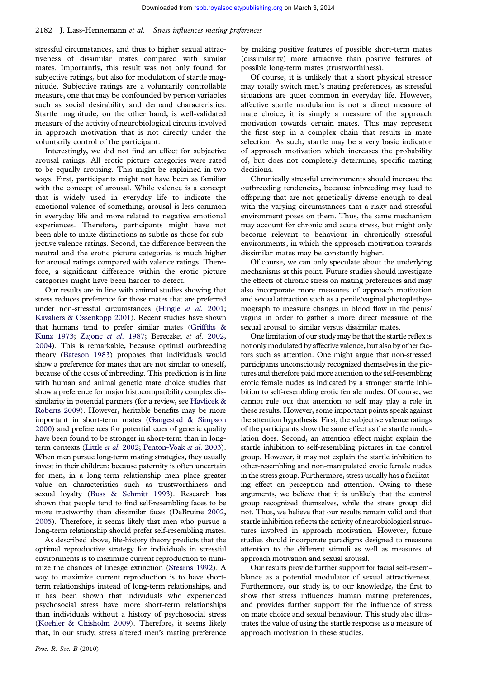stressful circumstances, and thus to higher sexual attractiveness of dissimilar mates compared with similar mates. Importantly, this result was not only found for subjective ratings, but also for modulation of startle magnitude. Subjective ratings are a voluntarily controllable measure, one that may be confounded by person variables such as social desirability and demand characteristics. Startle magnitude, on the other hand, is well-validated measure of the activity of neurobiological circuits involved in approach motivation that is not directly under the voluntarily control of the participant.

Interestingly, we did not find an effect for subjective arousal ratings. All erotic picture categories were rated to be equally arousing. This might be explained in two ways. First, participants might not have been as familiar with the concept of arousal. While valence is a concept that is widely used in everyday life to indicate the emotional valence of something, arousal is less common in everyday life and more related to negative emotional experiences. Therefore, participants might have not been able to make distinctions as subtle as those for subjective valence ratings. Second, the difference between the neutral and the erotic picture categories is much higher for arousal ratings compared with valence ratings. Therefore, a significant difference within the erotic picture categories might have been harder to detect.

Our results are in line with animal studies showing that stress reduces preference for those mates that are preferred under non-stressful circumstances (Hingle et al[. 2001;](#page-9-0) [Kavaliers & Ossenkopp 2001](#page-9-0)). Recent studies have shown that humans tend to prefer similar mates [\(Griffths &](#page-9-0) [Kunz 1973;](#page-9-0) Zajonc et al[. 1987;](#page-9-0) Bereczkei et al. [2002,](#page-9-0) [2004](#page-9-0)). This is remarkable, because optimal outbreeding theory [\(Bateson 1983](#page-9-0)) proposes that individuals would show a preference for mates that are not similar to oneself, because of the costs of inbreeding. This prediction is in line with human and animal genetic mate choice studies that show a preference for major histocompatibility complex dissimilarity in potential partners (for a review, see [Havlicek &](#page-9-0) [Roberts 2009\)](#page-9-0). However, heritable benefits may be more important in short-term mates [\(Gangestad & Simpson](#page-9-0) [2000](#page-9-0)) and preferences for potential cues of genetic quality have been found to be stronger in short-term than in longterm contexts (Little et al[. 2002](#page-9-0); [Penton-Voak](#page-9-0) et al. 2003). When men pursue long-term mating strategies, they usually invest in their children: because paternity is often uncertain for men, in a long-term relationship men place greater value on characteristics such as trustworthiness and sexual loyalty [\(Buss & Schmitt 1993](#page-9-0)). Research has shown that people tend to find self-resembling faces to be more trustworthy than dissimilar faces (DeBruine [2002,](#page-9-0) [2005](#page-9-0)). Therefore, it seems likely that men who pursue a long-term relationship should prefer self-resembling mates.

As described above, life-history theory predicts that the optimal reproductive strategy for individuals in stressful environments is to maximize current reproduction to minimize the chances of lineage extinction [\(Stearns 1992\)](#page-9-0). A way to maximize current reproduction is to have shortterm relationships instead of long-term relationships, and it has been shown that individuals who experienced psychosocial stress have more short-term relationships than individuals without a history of psychosocial stress [\(Koehler & Chisholm 2009\)](#page-9-0). Therefore, it seems likely that, in our study, stress altered men's mating preference

Proc. R. Soc. B (2010)

by making positive features of possible short-term mates (dissimilarity) more attractive than positive features of possible long-term mates (trustworthiness).

Of course, it is unlikely that a short physical stressor may totally switch men's mating preferences, as stressful situations are quiet common in everyday life. However, affective startle modulation is not a direct measure of mate choice, it is simply a measure of the approach motivation towards certain mates. This may represent the first step in a complex chain that results in mate selection. As such, startle may be a very basic indicator of approach motivation which increases the probability of, but does not completely determine, specific mating decisions.

Chronically stressful environments should increase the outbreeding tendencies, because inbreeding may lead to offspring that are not genetically diverse enough to deal with the varying circumstances that a risky and stressful environment poses on them. Thus, the same mechanism may account for chronic and acute stress, but might only become relevant to behaviour in chronically stressful environments, in which the approach motivation towards dissimilar mates may be constantly higher.

Of course, we can only speculate about the underlying mechanisms at this point. Future studies should investigate the effects of chronic stress on mating preferences and may also incorporate more measures of approach motivation and sexual attraction such as a penile/vaginal photoplethysmograph to measure changes in blood flow in the penis/ vagina in order to gather a more direct measure of the sexual arousal to similar versus dissimilar mates.

One limitation of our study may be that the startle reflex is not only modulated by affective valence, but also by other factors such as attention. One might argue that non-stressed participants unconsciously recognized themselves in the pictures and therefore paid more attention to the self-resembling erotic female nudes as indicated by a stronger startle inhibition to self-resembling erotic female nudes. Of course, we cannot rule out that attention to self may play a role in these results. However, some important points speak against the attention hypothesis. First, the subjective valence ratings of the participants show the same effect as the startle modulation does. Second, an attention effect might explain the startle inhibition to self-resembling pictures in the control group. However, it may not explain the startle inhibition to other-resembling and non-manipulated erotic female nudes in the stress group. Furthermore, stress usually has a facilitating effect on perception and attention. Owing to these arguments, we believe that it is unlikely that the control group recognized themselves, while the stress group did not. Thus, we believe that our results remain valid and that startle inhibition reflects the activity of neurobiological structures involved in approach motivation. However, future studies should incorporate paradigms designed to measure attention to the different stimuli as well as measures of approach motivation and sexual arousal.

Our results provide further support for facial self-resemblance as a potential modulator of sexual attractiveness. Furthermore, our study is, to our knowledge, the first to show that stress influences human mating preferences, and provides further support for the influence of stress on mate choice and sexual behaviour. This study also illustrates the value of using the startle response as a measure of approach motivation in these studies.